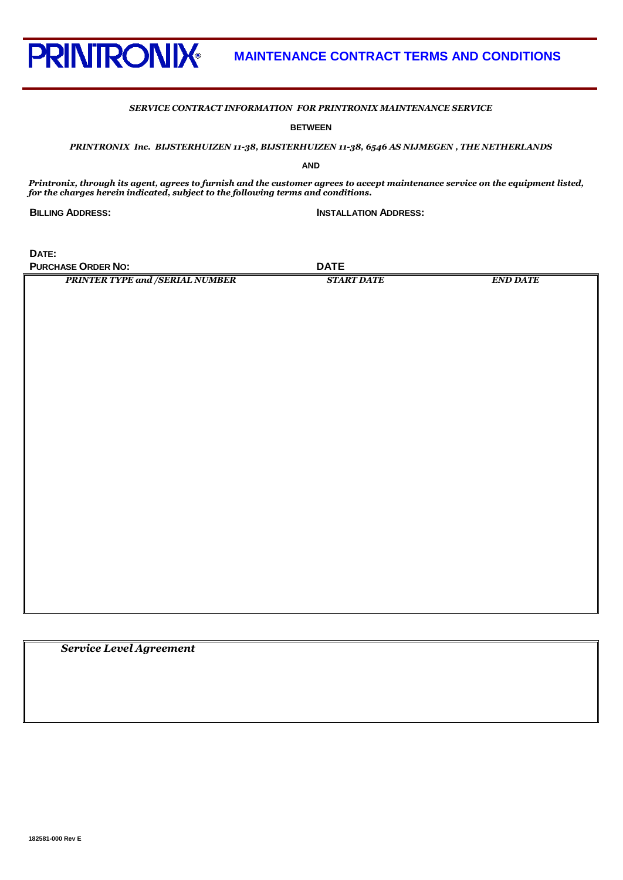

### *SERVICE CONTRACT INFORMATION FOR PRINTRONIX MAINTENANCE SERVICE*

**BETWEEN**

*PRINTRONIX Inc. BIJSTERHUIZEN 11-38, BIJSTERHUIZEN 11-38, 6546 AS NIJMEGEN , THE NETHERLANDS*

**AND**

*Printronix, through its agent, agrees to furnish and the customer agrees to accept maintenance service on the equipment listed, for the charges herein indicated, subject to the following terms and conditions.*

**BILLING ADDRESS: INSTALLATION ADDRESS:**

**DATE: PURCHASE ORDER NO: DATE** 

*PRINTER TYPE and /SERIAL NUMBER START DATE END DATE*

 *Service Level Agreement*